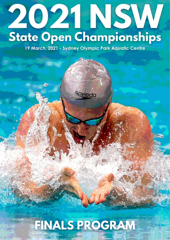# **2021 NSW State Open Championships**

**19 March, 2021 - Sydney Olympic Park Aquatic Centre**

é 2

# **FINALS PROGRAM**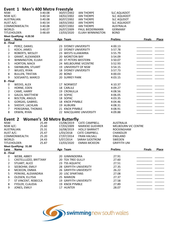| Event 1                                        |                          |         | <b>Men's 400 Metre Freestyle</b>  |                          |                     |               |              |
|------------------------------------------------|--------------------------|---------|-----------------------------------|--------------------------|---------------------|---------------|--------------|
| NSW:                                           |                          | 3:40.08 | 30/07/2002                        | <b>IAN THORPE</b>        | <b>SLC AQUADOT</b>  |               |              |
| NSW A/C:                                       |                          | 3:40.54 | 18/02/2002                        | <b>IAN THORPE</b>        | <b>SLC AQUADOT</b>  |               |              |
|                                                | AUSTRALIAN:              | 3:40.08 | 30/07/2002                        | <b>IAN THORPE</b>        | <b>SLC AQUDOT</b>   |               |              |
| AUST A/C:                                      |                          | 3:40.54 | 18/03/2002                        | <b>IAN THORPE</b>        | <b>SLC AQUADOT</b>  |               |              |
|                                                | COMMONWEALTH:            | 3:40.08 | 30/07/2002                        | <b>IAN THORPE</b>        | <b>AUSTRALIA</b>    |               |              |
| WORLD:                                         |                          | 3:40.07 | 26/07/2009                        | PAUL BIEDERMANN          | <b>GERMANY</b>      |               |              |
|                                                | TITLEHOLDER:             | 3:48.69 | 13/03/2020                        | <b>ELIJAH WINNINGTON</b> | <b>BOND</b>         |               |              |
|                                                | Meet Qualifying: 4:20.50 |         |                                   |                          |                     |               |              |
| Lane<br>A - Final                              | <b>Name</b>              |         | Age Team                          |                          | <b>Prelims</b>      | <b>Finals</b> | Place        |
| 0                                              | PEREZ, DANIEL            |         | 23 SYDNEY UNIVERSITY              |                          | 4:00.13             |               |              |
| $\mathbf{1}$                                   | KOCH, JAMES              |         | 22 SYDNEY UNIVERSITY              |                          | 3:57.78             |               |              |
| $\overline{2}$                                 | ROBERTS, WESLEY          |         | 23 WESTS ILLAWARRA                |                          | 3:55.79             |               |              |
| 3                                              | GRANT, ALEXANDER         |         | 20 MORETON BAY                    |                          | 3:54.09             |               |              |
| 4                                              | WINNINGTON, ELIJAH       |         | 20 ST PETERS WESTERN              |                          | 3:50.07             |               |              |
| 5                                              | HORTON, MACK             |         |                                   | 24 MELBOURNE VICENTRE    | 3:52.93             |               |              |
| 6                                              | SWINBURN, STUART         |         | 19 UNIVERSITY OF NSW              |                          | 3:54.15             |               |              |
| $\overline{7}$                                 | WILKES, RYAN             |         | <b>18 SYDNEY UNIVERSITY</b>       |                          | 3:57.73             |               |              |
| 8                                              |                          |         | 20 BOND                           |                          | 4:00.03             |               |              |
| <b>BULLEN, TRISTAN</b><br>9<br>SOESANTO, MARCO |                          |         | 20 SURREY PARK                    |                          | 4:03.15             |               |              |
| <b>B</b> - Final                               |                          |         |                                   |                          |                     |               |              |
| 0                                              | WEEKS, ALEX              |         | 17 NORWEST                        |                          | 4:10.37             |               |              |
| $\mathbf{1}$                                   | HORNE, EDEN              |         | 18 CARLILE                        |                          | 4:09.27             |               |              |
| $\overline{2}$                                 | CAME, HARRY              |         | 19 CRONULLA                       |                          | 4:08.56             |               |              |
| 3                                              | GALEA, MATTHEW           |         | 19 SOPAC                          |                          | 4:06.05             |               |              |
| 4                                              | <b>BOLTON, ANGUS</b>     |         | 18 SOPAC                          |                          | 4:03.35             |               |              |
| 5                                              | GORGAS, GABRIEL          |         | 18 KNOX PYMBLE                    |                          | 4:04.46             |               |              |
| 6                                              | SHEEHY, LACHLAN          |         | 19 AUBURN                         |                          | 4:08.31             |               |              |
| $\overline{7}$                                 | PEREGRINA, THOMAS        |         | 21 KNOX PYMBLE                    |                          | 4:08.91             |               |              |
| 8                                              | ERWIN, RYAN              |         |                                   | 22 MACQUARIE UNIVERSITY  | 4:09.88             |               |              |
|                                                |                          |         |                                   |                          |                     |               |              |
| Event 2                                        |                          |         | <b>Women's 50 Metre Butterfly</b> |                          |                     |               |              |
| NSW:                                           |                          | 25.49   | 15/08/2019                        | <b>CATE CAMPBELL</b>     | <b>AUSTRALIA</b>    |               |              |
| NSW A/C:                                       |                          | 25.60   | 17/03/2009                        | <b>MARIEKE GUEHRER</b>   | MELBOURN VIC CENTRE |               |              |
|                                                | <b>AUSTRALIAN:</b>       | 25.31   | 16/08/2019                        | <b>HOLLY BARRATT</b>     | <b>ROCKINGHAM</b>   |               |              |
| AUST A/C:                                      |                          | 25.47   | 1/03/2018                         | <b>CATE CAMPBELL</b>     | <b>CHANDLER</b>     |               |              |
|                                                | COMMONWEALTH:            | 25.20   | 27/07/2014                        | <b>FRAN HALSALL</b>      | <b>ENGLAND</b>      |               |              |
| WORLD:                                         |                          | 24.43   | 5/07/2014                         | SARAH SJOSTROM           | SWEDEN              |               |              |
|                                                | TITLEHOLDER:             | 25.87   | 13/03/2020                        | <b>EMMA MCKEON</b>       | <b>GRIFFITH UNI</b> |               |              |
|                                                | Meet Qualifying: 31.00   |         |                                   |                          |                     |               |              |
| Lane                                           | <b>Name</b>              |         | Age Team                          |                          | <b>Prelims</b>      | <b>Finals</b> | <b>Place</b> |
| A - Final                                      |                          |         |                                   |                          |                     |               |              |
| 0                                              | WEBB, ABBEY              |         | 20 GINNINDERRA                    |                          | 27.91               |               |              |
| 1                                              | CASTELLUZZO, BRITTANY    |         | <b>20 TEA TREE GULLY</b>          |                          | 27.60               |               |              |
| $\overline{2}$                                 | STUART, ALICE            |         | 23 TSS AQUATIC                    |                          | 27.51               |               |              |
| 3                                              | SEEBOHM, EMILY           |         | 28 GRIFFITH UNIVERSITY            |                          | 27.35               |               |              |
| 4                                              | MCKEON, EMMA             |         | 26 GRIFFITH UNIVERSITY            |                          | 26.22               |               |              |
| 5                                              | PERKINS, ALEXANDRIA      |         | 20 USC SPARTANS                   |                          | 27.08               |               |              |
| 6                                              | OLDSEN, ELLYSIA          |         | 25 MARION                         |                          | 27.37               |               |              |
| 7                                              | ST VINCENT, REBECCA      |         | <b>19 GRIFFITH UNIVERSITY</b>     |                          | 27.58               |               |              |
| 8                                              | FYDLER, CLAUDIA          |         | 19 KNOX PYMBLE                    |                          | 27.89               |               |              |
| 9                                              | JONES, EMILY             |         | 17 HUNTER                         |                          | 28.07               |               |              |

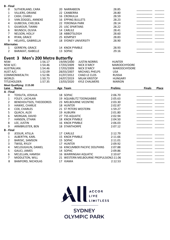| <b>B</b> - Final  |                                   |                                    |                     |
|-------------------|-----------------------------------|------------------------------------|---------------------|
| 0                 | SUTHERLAND, CARA                  | 20 NARRABEEN                       | 28.85               |
| 1                 | VILLIERS, ORIANE                  | 22 CANBERRA                        | 28.80               |
| 2                 | CASH, CHARLI                      | <b>16 CRONULLA</b>                 | 28.59               |
| 3                 | VAN ZOGGEL, ANNEKE                | <b>16 EPPING BULLETS</b>           | 28.23               |
| 4                 | <b>GUBECKA, CHELSEA</b>           | 22 YERONGA PARK                    | 28.14               |
| 5                 | GILMOUR, TIANNI                   | 25 USC SPARTANS                    | 28.22               |
| 6                 | WUNSCH, OLIVIA                    | 14 CARLILE                         | 28.41               |
|                   | NELSON, HOLLY                     | 18 ABBOTSLEIGH                     | 28.60               |
| 8                 | RYAN, GRACE                       | 25 KEMPSEY                         | 28.83               |
| 9                 | HELAYEL, GABRIELLA                | <b>18 SYDNEY UNIVERSITY</b>        | 28.90               |
| <b>Alternates</b> |                                   |                                    |                     |
| 1                 | <b>GERREYN, GRACE</b>             | 14 KNOX PYMBLE                     | 28.93               |
| 2                 | <b>BARAKAT, ISABELLE</b>          | 13 SOPAC                           | 29.16               |
|                   | Event 3 Men's 200 Metre Butterfly |                                    |                     |
| NSW:              | 1:56.17                           | 19/09/2000<br><b>JUSTIN NORRIS</b> | <b>HUNTER</b>       |
| NSW A/C:          | 1:54.46                           | 17/03/2009<br>NICK D'ARCY          | <b>MAROOCHYDORE</b> |

| <b>INSWA/C:</b>  |                          | 1.54.40 | 1770372009           | NICK D'ARCY                            | <b>IVIARUULHYDUKE</b> |               |       |
|------------------|--------------------------|---------|----------------------|----------------------------------------|-----------------------|---------------|-------|
|                  | <b>AUSTRALIAN:</b>       | 1:54.46 | 17/03/2009           | NICK D'ARCY                            | <b>MAROOCHYDORE</b>   |               |       |
| AUST A/C:        |                          | 1:52.09 | 28/03/2007           | <b>MICHAEL PHELPS</b>                  | <b>USA</b>            |               |       |
|                  | COMMONWEALTH:            | 1:52.96 | 31/07/2012           | CHAD LE CLOS                           | <b>RUSSIA</b>         |               |       |
| WORLD:           |                          | 1:50.73 | 24/07/2019           | <b>MILAK KRISTOF</b>                   | <b>HUNGARY</b>        |               |       |
|                  | TITLEHOLDER:             | 1:57.35 | 13/03/2020           | <b>KYLE CHALMERS</b>                   | <b>MARION</b>         |               |       |
|                  | Meet Qualifying: 2:15.00 |         |                      |                                        |                       |               |       |
| Lane             | <b>Name</b>              |         | Age Team             |                                        | <b>Prelims</b>        | <b>Finals</b> | Place |
| A - Final        |                          |         |                      |                                        |                       |               |       |
| 0                | TOISUTA, JOSHUA          |         | 18 SOPAC             |                                        | 2:06.70               |               |       |
| 1                | FOLEY, LACHLAN           |         |                      | 19 AQUABLITZ TOONGABBIE                | 2:05.63               |               |       |
| $\overline{2}$   | BENEHOUTSOS, THEODOROS   |         |                      | 23 MELBOURNE VICENTRE                  | 2:03.30               |               |       |
| 3                | HAWKE, CHARLIE           |         | <b>18 HUNTER</b>     |                                        | 2:02.87               |               |       |
| 4                | COX, CHARLES             |         |                      | 21 ST PETERS WESTERN                   | 1:59.27               |               |       |
| 5                | <b>QUACH, ALEX</b>       |         | 19 AUBURN            |                                        | 2:01.80               |               |       |
| 6                | MORGAN, DAVID            |         | 27 TSS AQUATIC       |                                        | 2:02.94               |               |       |
| 7                | HANSEN, ETHAN            |         | 18 KNOX PYMBLE       |                                        | 2:04.50               |               |       |
| 8                | LEE, JUSTIN              |         | 16 KNOX PYMBLE       |                                        | 2:06.03               |               |       |
| 9                | ARMBRUSTER, BEN          |         | <b>18 STANTHORPE</b> |                                        | 2:07.12               |               |       |
| <b>B</b> - Final |                          |         |                      |                                        |                       |               |       |
| $\mathbf 0$      | JESSUR, ATILLA           |         | 17 CARLILE           |                                        | 2:12.79               |               |       |
| 1                | ALBERTYN, KARL           |         | 15 KNOX PYMBLE       |                                        | 2:11.66               |               |       |
| $\overline{2}$   | BARISIC, SAMSON          |         | 15 SOPAC             |                                        | 2:11.01               |               |       |
| 3                | TWISS, RYLEY             |         | 17 HUNTER            |                                        | 2:09.92               |               |       |
| 4                | MCLOUGHLIN, DANIEL       |         |                      | 16 KINCUMBER PACIFIC DOLPHINS          | 2:07.88               |               |       |
| 5                | GAUCI, JAMES             |         | 14 SOPAC             |                                        | 2:09.86               |               |       |
| 6                | MCLELLAN, HAMISH         |         |                      | 16 WARRINGAH AQUATIC                   | 2:10.67               |               |       |
| 7                | MIDDLETON, WILL          |         |                      | 21 WESTERN MELBOURNE PROPULSION2:11.06 |                       |               |       |
| 8                | <b>BAMFORD, NICHOLAS</b> |         | 17 KIAMA             |                                        | 2:12.53               |               |       |
|                  |                          |         |                      |                                        |                       |               |       |

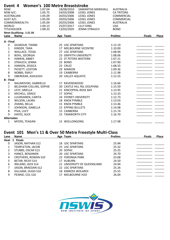| Event 4              |                                         | <b>Women's 100 Metre Breaststroke</b> |                          |                             |                   |               |       |
|----------------------|-----------------------------------------|---------------------------------------|--------------------------|-----------------------------|-------------------|---------------|-------|
| NSW:                 |                                         | 1:07.04                               | 18/08/2010               | SAMANTHA MARSHALL           | <b>AUSTRALIA</b>  |               |       |
| NSW A/C:             |                                         | 1:05.75                               | 24/03/2008               | LEISEL JONES                | <b>CA TRITONS</b> |               |       |
|                      | <b>AUSTRALIAN:</b>                      | 1:05.09                               | 20/03/2006               | LEISEL JONES                | <b>COMMERCIAL</b> |               |       |
| AUST A/C:<br>1:05.09 |                                         |                                       | 20/03/2006               | LEISEL JONES                | <b>COMMERCIAL</b> |               |       |
|                      | COMMONWEALTH:                           | 1:05.09                               | 20/03/2006               | LEISEL JONES                | <b>AUSTRALIA</b>  |               |       |
| WORLD:               |                                         | 1:04.13                               | 25/07/2017               | <b>LILLY KING</b>           | <b>USA</b>        |               |       |
|                      | TITLEHOLDER:                            | 1:08.33                               | 13/03/2020               | <b>JENNA STRAUCH</b>        | <b>BOND</b>       |               |       |
| Lane                 | Meet Qualifying: 1:21.50<br><b>Name</b> |                                       | Age Team                 |                             | <b>Prelims</b>    | <b>Finals</b> | Place |
|                      |                                         |                                       |                          |                             |                   |               |       |
| A - Final            |                                         |                                       |                          |                             |                   |               |       |
| 0                    | GILMOUR, TIANNI                         |                                       | 25 USC SPARTANS          |                             | 1:12.19           |               |       |
| $\mathbf{1}$         | KINDER, TARA                            |                                       |                          | 17 MELBOURNE VICENTRE       | 1:10.00           |               |       |
| $\overline{2}$       | WALLACE, TESSA                          |                                       | 27 USC SPARTANS          |                             | 1:08.94           |               |       |
| 3                    | <b>BOHL, GEORGIA</b>                    |                                       |                          | 23 GRIFFITH UNIVERSITY      | 1:08.06           |               |       |
| 4                    | HARKIN, ABBEY                           |                                       |                          | 22 ST PETERS WESTERN        | 1:07.21           |               |       |
| 5                    | STRAUCH, JENNA                          |                                       | 23 BOND                  |                             | 1:07.90           |               |       |
| 6                    | HANSEN, JESSICA                         |                                       | 25 CRUIZ                 |                             | 1:08.55           |               |       |
| $\overline{7}$       | PICKETT, LEISTON                        |                                       | 29 MARION                |                             | 1:09.36           |               |       |
| 8                    | NOBBS, EMILY                            |                                       | 19 CANBERRA              |                             | 1:11.98           |               |       |
| 9                    | OBEREKAR, ASHLEIGH                      |                                       | 20 VALLEY AQUATIC        |                             | 1:12.55           |               |       |
| <b>B</b> - Final     |                                         |                                       |                          |                             |                   |               |       |
| 0                    | NAUMOVSKI, GABRIELLE                    |                                       | 17 RAVENSWOOD            |                             | 1:16.66           |               |       |
| $\mathbf{1}$         | BELDHAM-COLLINS, SOPHIE                 |                                       |                          | 20 CASTLE HILL RSL DOLPHINS | 1:15.59           |               |       |
| $\overline{2}$       | LEVY, ARIELLA                           |                                       |                          | 21 KINCOPPAL-ROSE BAY       | 1:13.95           |               |       |
| 3                    | MICHELL, GRACE                          |                                       | 17 SOPAC                 |                             | 1:13.33           |               |       |
| 4                    | LUUKKANEN, CARITA                       |                                       |                          | 24 SYDNEY UNIVERSITY        | 1:12.73           |               |       |
| 5                    | WILSON, LAURA                           |                                       | 18 KNOX PYMBLE           |                             | 1:13.03           |               |       |
| 6                    | ZHANG, BELLA                            |                                       | 15 KNOX PYMBLE           |                             | 1:13.46           |               |       |
| $\overline{7}$       | JOHNSON, ISABELLA                       |                                       | <b>15 EPPING BULLETS</b> |                             | 1:14.08           |               |       |
| 8                    | PIVA, LUCY                              |                                       | 15 CANBERRA              |                             | 1:15.74           |               |       |
| 9                    | HAYES, ALEX                             |                                       | 15 TAMWORTH CITY         |                             | 1:16.70           |               |       |
| <b>Alternates</b>    |                                         |                                       |                          |                             |                   |               |       |
| $\mathbf{1}$         | MYERS, TEAGAN                           |                                       | 15 WOLLONGONG            |                             | 1:17.08           |               |       |
|                      |                                         |                                       |                          |                             |                   |               |       |

### **Event 101 Men's 11 & Over 50 Metre Freestyle Multi-Class**

| Lane | Name                       | Age Team                    | <b>Prelims</b> | <b>Finals</b> | Place |
|------|----------------------------|-----------------------------|----------------|---------------|-------|
|      | Heat 1 Finals              |                             |                |               |       |
| 0    | JASON, NATHAN S12          | 18 USC SPARTANS             | 25.84          |               |       |
|      | <b>TEMPLETON, JACOB</b>    | 25 USC SPARTANS             | 25.32          |               |       |
| 2    | STUBBS, OSCAR S13          | 20 SOPAC                    | 25.25          |               |       |
| 3    | HANCE, BENJAMIN            | 20 USC SPARTANS             | 24.70          |               |       |
| 4    | <b>CROTHERS, ROWAN S10</b> | 23 YERONGA PARK             | 23.68          |               |       |
| 5    | <b>BETAR, RICKY S14</b>    | 17 AUBURN                   | 24.50          |               |       |
| 6    | <b>IRELAND, JACK S14</b>   | 21 UNIVERSITY OF QUEENSLAND | 24.94          |               |       |
| 7    | JASON, BRAEDAN S12         | 22 USC SPARTANS             | 25.26          |               |       |
| 8    | GILLHAM, HUGH S10          | <b>18 KINROSS WOLAROI</b>   | 25.55          |               |       |
| 9    | PEARSE, COL S10            | 17 MELBOURNE H2O            | 26.04          |               |       |

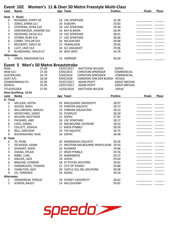| Lane              | <b>Name</b>                                   | Event 102 Women's 11 & Over 50 Metre Freestyle Multi-Class<br>Age Team | <b>Prelims</b>               | <b>Finals</b> | <b>Place</b> |
|-------------------|-----------------------------------------------|------------------------------------------------------------------------|------------------------------|---------------|--------------|
|                   |                                               |                                                                        |                              |               |              |
|                   | Heat 1 Finals                                 |                                                                        |                              |               |              |
| 0                 | RICHARDS, POPPY S8                            | <b>16 USC SPARTANS</b>                                                 | 32.30                        |               |              |
| 1                 | JONES, JENNA S12                              | 20 AUBURN                                                              | 29.83                        |               |              |
| $\overline{2}$    | STEPHENS, KEIRA S10                           | <b>18 USC SPARTANS</b>                                                 | 29.40                        |               |              |
| 3                 | GREENWOOD, JASMINE S10                        | 16 BAY & BASIN                                                         | 28.94                        |               |              |
| 4                 | DEDEKIND, KATJA S13                           | <b>19 USC SPARTANS</b>                                                 | 28.01                        |               |              |
| 5                 | STORM, RUBY S14                               | 17 USC SPARTANS                                                        | 28.68                        |               |              |
| 6                 | <b>CORRY, TAYLOR S14</b>                      | 26 NELSON BAY                                                          | 28.98                        |               |              |
| $\overline{7}$    | <b>BEECROFT, EMILY S9</b>                     | 21 TRARALGON                                                           | 29.85                        |               |              |
| 8                 | LUCY, JADE S14                                | 24 SLC AQUADOT                                                         | 29.96                        |               |              |
| 9                 | <b>BLANSHARD, TAHLIA S7</b>                   | 20 WOY WOY                                                             | 34.78                        |               |              |
| <b>Alternates</b> |                                               |                                                                        |                              |               |              |
| $\mathbf{1}$      | HINDS, MADDISON S14                           | 15 HORNSBY                                                             | 30.60                        |               |              |
|                   | <b>Men's 50 Metre Breaststroke</b><br>Event 5 |                                                                        |                              |               |              |
| NSW:              | 27.69                                         | 23/07/2017<br><b>MATTHEW WILSON</b>                                    | SOPAC                        |               |              |
| NSW A/C:          | 27.28                                         | 3/04/2015<br><b>CHRISTIAN SPRENGER</b>                                 | <b>COMMERCIAL</b>            |               |              |
|                   | 26.74<br><b>AUSTRALIAN:</b>                   | 5/04/2014<br><b>CHRISTIAN SPRENGER</b>                                 | COMMERCIAL                   |               |              |
| AUST A/C:         | 26.58                                         | 9/04/2018                                                              | CAMERON VAN DER BURGH RUSSIA |               |              |
|                   | COMMONWEALTH:<br>25.95                        | 25/07/2017<br><b>ADAM PEATY</b>                                        | <b>GREAT BRITAIN</b>         |               |              |
| WORLD:            | 25.95                                         | 25/07/2017<br><b>ADAM PEATY</b>                                        | <b>GREAT BRITAIN</b>         |               |              |
|                   | 27.95<br>TITLEHOLDER:                         | 13/03/2020<br><b>MATTHEW WILSON</b>                                    | SOPAC                        |               |              |
|                   | Meet Qualifying: 33.50                        |                                                                        |                              |               |              |
| Lane              | <b>Name</b>                                   | Age Team                                                               | <b>Prelims</b>               | <b>Finals</b> | <b>Place</b> |
| A - Final         |                                               |                                                                        |                              |               |              |
| 0                 | MCLEAN, JUSTIN                                | 20 MACQUARIE UNIVERSITY                                                | 28.97                        |               |              |
| 1                 | WILKES, NASH                                  | 19 FORSTER AQUATIC                                                     | 28.72                        |               |              |
| $\overline{2}$    | WILLIAMSON, SAMUEL                            | 23 FIRBANK AQUASTARS                                                   | 28.53                        |               |              |
| 3                 | MCKECHNIE, JAMES                              | 25 STARPLEX                                                            | 28.30                        |               |              |
| 4                 | WILSON, MATTHEW                               | 22 SOPAC                                                               | 27.87                        |               |              |
| 5                 | PACKARD, JAKE                                 | 26 USC SPARTANS                                                        | 28.17                        |               |              |
| 6                 | CAVE, DANIEL                                  | 22 MELBOURNE VICENTRE                                                  | 28.52                        |               |              |
| $\overline{7}$    | COLLETT, JOSHUA                               | 17 KNOX PYMBLE                                                         | 28.59                        |               |              |
| 8                 | <b>BELL, GRAYSON</b>                          | 23 TSS AQUATIC                                                         | 28.75                        |               |              |
| 9                 | <b>BUCKINGHAM, HAIG</b>                       | 16 SOPAC                                                               | 28.98                        |               |              |
| <b>B</b> - Final  |                                               |                                                                        |                              |               |              |
| 0                 | YII, RYAN                                     | 20 WARRINGAH AQUATIC                                                   | 30.26                        |               |              |
| 1                 | SELWOOD, ADAM                                 | 21 WESTERN MELBOURNE PROPULSION                                        | 29.93                        |               |              |
| $\overline{2}$    | SEARANT, ADEN                                 | 20 NUSWIM                                                              | 29.86                        |               |              |
| 3                 | ZHANG, DYLAN                                  | 17 KNOX PYMBLE                                                         | 29.76                        |               |              |
| 4                 | <b>BIBBY, LUKE</b>                            | 25 NARRABEEN                                                           | 29.37                        |               |              |
| 5                 | MACKIE, JACK                                  | 18 SOPAC                                                               | 29.64                        |               |              |
| 6                 | <b>BRACKIN, CONNOR</b>                        | 18 ST PETERS WESTERN                                                   | 29.81                        |               |              |
| $\overline{7}$    | HARGREAVES, THOMAS                            | 21 CITY OF SYDNEY                                                      | 29.88                        |               |              |
| 8                 | CHARLTON, JACK                                | 20 CASTLE HILL RSL DOLPHINS                                            | 30.08                        |               |              |
| 9                 | LEI, TERRENCE                                 | 18 SOPAC                                                               | 30.54                        |               |              |
| <b>Alternates</b> |                                               |                                                                        |                              |               |              |
| 1                 | HENDERSON, FERGUS                             | <b>20 SYDNEY UNIVERSITY</b>                                            | 30.62                        |               |              |
| $\overline{2}$    | SCREEN, BAILEY                                | 14 WILLOUGHBY                                                          | 30.81                        |               |              |

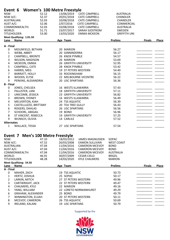|                   | Event 6                                 |                | <b>Women's 100 Metre Freestyle</b> |                                                 |                     |               |              |
|-------------------|-----------------------------------------|----------------|------------------------------------|-------------------------------------------------|---------------------|---------------|--------------|
| NSW:              |                                         | 52.12          | 13/06/2019                         | <b>CATE CAMPBELL</b>                            | <b>AUSTRALIA</b>    |               |              |
| NSW A/C:          |                                         | 52.37          | 20/01/2018                         | <b>CATE CAMPBELL</b>                            | <b>CHANDLER</b>     |               |              |
|                   | <b>AUSTRALIAN:</b>                      | 52.03          | 10/08/2018                         | <b>CATE CAMPBELL</b>                            | <b>CHANDLER</b>     |               |              |
| AUST A/C:         |                                         | 52.06          | 2/07/2016                          | <b>CATE CAMPBELL</b>                            | COMMERCIAL          |               |              |
|                   | COMMONWEALTH:                           | 52.03          | 10/08/2018                         | <b>CATE CAMPBELL</b>                            | <b>AUSTRALIA</b>    |               |              |
| WORLD:            |                                         | 51.71          | 23/07/2017                         | SARAH SJOSTROM                                  | SWEDEN              |               |              |
|                   | TITLEHOLDER:                            | 53.00          | 13/03/2020                         | <b>EMMA MCKEON</b>                              | <b>GRIFFITH UNI</b> |               |              |
| Lane              | Meet Qualifying: 1:01.50<br><b>Name</b> |                | Age Team                           |                                                 | <b>Prelims</b>      | <b>Finals</b> | <b>Place</b> |
|                   |                                         |                |                                    |                                                 |                     |               |              |
| A - Final         |                                         |                |                                    |                                                 | 56.27               |               |              |
| 0<br>$\mathbf{1}$ | MOUNFIELD, BETHAN<br>WEBB, ABBEY        |                | 20 MARION<br>20 GINNINDERRA        |                                                 | 56.17               |               |              |
| $\overline{2}$    |                                         |                | 26 KNOX PYMBLE                     |                                                 | 54.57               |               |              |
| 3                 | CAMPBELL, BRONTE                        |                | 26 MARION                          |                                                 | 53.69               |               |              |
|                   | <b>WILSON, MADISON</b>                  |                |                                    |                                                 |                     |               |              |
| 4<br>5            | MCKEON, EMMA                            |                | 26 GRIFFITH UNIVERSITY             |                                                 | 52.95               |               |              |
|                   | CAMPBELL, CATE                          |                | 28 KNOX PYMBLE                     |                                                 | 53.42               |               |              |
| 6                 | HARRIS, MEG                             |                | 19 ST PETERS WESTERN               |                                                 | 54.40               |               |              |
| $\overline{7}$    | <b>BARRATT, HOLLY</b>                   |                | 33 ROCKINGHAM                      |                                                 | 56.15               |               |              |
| 8                 | WOODS, ELYSE                            |                |                                    | 22 MELBOURNE VICENTRE                           | 56.22               |               |              |
| 9                 | PERKINS, ALEXANDRIA                     |                | 20 USC SPARTANS                    |                                                 | 56.36               |               |              |
| <b>B</b> - Final  |                                         |                |                                    |                                                 |                     |               |              |
| 0                 | JONES, CHELSEA                          |                | 16 WESTS ILLAWARRA                 |                                                 | 57.43               |               |              |
| $\mathbf{1}$      | PALLISTER, LANI                         |                | <b>18 GRIFFITH UNIVERSITY</b>      |                                                 | 57.11               |               |              |
| $\overline{2}$    | UNICOMB, JESSICA                        |                | 23 GRIFFITH UNIVERSITY             |                                                 | 56.82               |               |              |
| 3                 | BROWN, SYDNEY                           |                | 16 WESTS ILLAWARRA                 |                                                 | 56.49               |               |              |
| 4                 | MELVERTON, KIAH                         |                | 24 TSS AQUATIC                     |                                                 | 56.39               |               |              |
| 5                 | CASTELLUZZO, BRITTANY                   |                | <b>20 TEA TREE GULLY</b>           |                                                 | 56.43               |               |              |
| 6                 | ROGERS, DAHLAS                          |                | 26 USC SPARTANS                    |                                                 | 56.56               |               |              |
| $\overline{7}$    | SCHOORL, ABIGAIL                        |                | 19 BOND                            |                                                 | 56.96               |               |              |
| 8                 | ST VINCENT, REBECCA                     |                | 19 GRIFFITH UNIVERSITY             |                                                 | 57.25               |               |              |
| 9                 | WUNSCH, OLIVIA                          |                | 14 CARLILE                         |                                                 | 57.52               |               |              |
| <b>Alternates</b> |                                         |                |                                    |                                                 |                     |               |              |
| $\mathbf{1}$      | WALLACE, TESSA                          |                | 27 USC SPARTANS                    |                                                 | 57.54               |               |              |
|                   |                                         |                |                                    |                                                 |                     |               |              |
|                   | Event 7 Men's 100 Metre Freestyle       |                |                                    |                                                 | SOPAC               |               |              |
| NSW:<br>NSW A/C:  |                                         | 47.10<br>47.52 | 18/03/2012<br>26/03/2008           | <b>JAMES MAGNUSSEN</b><br><b>EAMON SULLIVAN</b> | <b>WEST COAST</b>   |               |              |
|                   | AUSTRALIAN:                             | 47.04          | 11/04/2016                         | <b>CAMERON MCEVOY</b>                           | <b>BOND</b>         |               |              |
| AUST A/C:         |                                         | 47.04          | 11/04/2016                         | <b>CAMERON MCEVOY</b>                           | <b>BOND</b>         |               |              |
|                   | COMMONWEALTH:                           | 47.04          | 11/04/2016                         | <b>CAMERON MCEVOY</b>                           | <b>AUSTRALIA</b>    |               |              |
| WORLD:            |                                         | 46.91          | 30/07/2009                         | <b>CESAR CIELO</b>                              | <b>BRAZIL</b>       |               |              |
|                   | TITLEHOLDER:                            | 48.28          | 14/03/2020                         | <b>KYLE CHALMERS</b>                            | <b>MARION</b>       |               |              |
|                   | Meet Qualifying: 54.50                  |                |                                    |                                                 |                     |               |              |
| Lane              | Name                                    |                | Age Team                           |                                                 | <b>Prelims</b>      | <b>Finals</b> | Place        |
| A - Final         |                                         |                |                                    |                                                 |                     |               |              |
| 0                 | MAHER, ZACH                             |                | 19 TSS AQUATIC                     |                                                 | 50.73               |               |              |
| 1                 | HERTZ, JOSHUA                           |                | 25 SOPAC                           |                                                 | 50.17               |               |              |
| 2                 | LARKIN, MITCH                           |                | 27 ST PETERS WESTERN               |                                                 | 49.96               |               |              |
| 3                 | CARTWRIGHT, JACK                        |                | 22 ST PETERS WESTERN               |                                                 | 49.47               |               |              |
| 4                 | CHALMERS, KYLE                          |                | 22 MARION                          |                                                 | 49.16               |               |              |
| 5                 | YANG, WILLIAM                           |                |                                    | 22 LORETO NORMANHURST                           | 49.29               |               |              |
| 6                 | GRAHAM, ALEXANDER                       |                | 25 BOND                            |                                                 | 49.79               |               |              |
| 7                 | WINNINGTON, ELIJAH                      |                | 20 ST PETERS WESTERN               |                                                 | 50.11               |               |              |
| 8                 | MCEVOY, CAMERON                         |                | 26 TSS AQUATIC                     |                                                 | 50.69               |               |              |
| 9                 | <b>IRELAND, KALANI</b>                  |                | 19 USC SPARTANS                    |                                                 | 50.79               |               |              |
|                   |                                         |                |                                    |                                                 |                     |               |              |

Supported by the

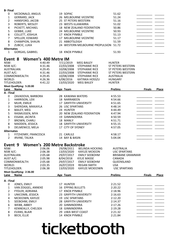| <b>B-Final</b>                  |                                  |                      |                                             |                                       |                          |               |       |
|---------------------------------|----------------------------------|----------------------|---------------------------------------------|---------------------------------------|--------------------------|---------------|-------|
| $\mathbf 0$                     | MCDONALD, ANGUS                  |                      | 19 SOPAC                                    |                                       | 51.62                    |               |       |
| $\mathbf{1}$                    | <b>GERRARD, JACK</b>             |                      |                                             | 26 MELBOURNE VICENTRE                 | 51.24                    |               |       |
| $\overline{2}$                  | HANSFORD, JACOB                  |                      | 25 ST PETERS WESTERN                        |                                       | 51.16                    |               |       |
| 3                               | ROBERTS, WESLEY                  |                      | 23 WESTS ILLAWARRA                          |                                       | 51.02                    |               |       |
| 4                               | PICKETT, MICHAEL                 |                      |                                             | 18 NEW ZEALAND FEDERATION             | 50.86                    |               |       |
| 5                               | <b>GEBBIE, LUKE</b>              |                      |                                             | 24 MELBOURNE VICENTRE                 | 50.93                    |               |       |
| 6                               | COLLETT, JOSHUA                  |                      | 17 KNOX PYMBLE                              |                                       | 51.13                    |               |       |
| $\overline{7}$                  | SPELLER, EDWARD                  |                      | 17 MELBOURNE VICENTRE                       |                                       | 51.17                    |               |       |
| 8<br>CHAMPION, SHAUN            |                                  |                      | 21 ABBOTSLEIGH                              |                                       | 51.59                    |               |       |
| 9                               | ZUBCIC, LUKA                     |                      |                                             | 24 WESTERN MELBOURNE PROPULSION 51.72 |                          |               |       |
| <b>Alternates</b>               |                                  |                      |                                             |                                       |                          |               |       |
| 1                               | GORGAS, GABRIEL                  |                      | 18 KNOX PYMBLE                              |                                       | 51.93                    |               |       |
| Event 8                         |                                  | Women's 400 Metre IM |                                             |                                       |                          |               |       |
| NSW:                            |                                  | 4:40.49              | 7/11/2019                                   | <b>MEG BAILEY</b>                     | <b>HUNTER</b>            |               |       |
| NSW A/C:                        |                                  | 4:31.46              | 22/03/2008                                  | <b>STEPHANIE RICE</b>                 | <b>ST PETERS WESTERN</b> |               |       |
| AUSTRALIAN:                     |                                  | 4:29.45              | 10/08/2008                                  | <b>STEPHANIE RICE</b>                 | <b>ST PETERS WESTERN</b> |               |       |
| AUST A/C:                       |                                  | 4:31.46              | 22/03/2008                                  | <b>STEPHANIE RICE</b>                 | <b>ST PETERS WESTERN</b> |               |       |
|                                 | COMMONWEALTH:                    |                      | 10/08/2008                                  | <b>STEPHANIE RICE</b>                 | <b>AUSTRALIA</b>         |               |       |
| WORLD:                          |                                  | 4:29.45              |                                             |                                       |                          |               |       |
|                                 |                                  | 4:26.36              | 6/08/2016                                   | KATINKA HOSSZU                        | <b>HUNGARY</b>           |               |       |
| TITLEHOLDER:                    |                                  | 4:41.22              | 13/03/2020                                  | <b>MEG BAILEY</b>                     | <b>HUNTER</b>            |               |       |
| Lane                            | Meet Qualifying: 5:20.00<br>Name |                      | Age Team                                    |                                       | <b>Prelims</b>           | <b>Finals</b> | Place |
| A - Final                       |                                  |                      |                                             |                                       |                          |               |       |
| $\mathbf 0$                     | ZAVADOVA, BARBORA                |                      | 28 KAWANA WATERS                            |                                       | 4:55.53                  |               |       |
| $\mathbf{1}$                    | HARRISON, LEXI                   |                      | 18 NARRABEEN                                |                                       | 4:54.66                  |               |       |
| $\overline{2}$<br>MUIR, EMILIE  |                                  |                      |                                             | 17 GRIFFITH UNIVERSITY                | 4:51.65                  |               |       |
| 3<br>SHERIDAN, MIKKAYLA         |                                  |                      | 26 USC SPARTANS                             |                                       | 4:48.14                  |               |       |
| $\pmb{4}$<br><b>BAILEY, MEG</b> |                                  |                      | 24 HUNTER                                   |                                       | 4:44.49                  |               |       |
| 5                               |                                  |                      |                                             |                                       |                          |               |       |
|                                 | RASMUSSEN, MYA                   |                      | 20 NEW ZEALAND FEDERATION<br>19 GINNINDERRA |                                       | 4:47.94                  |               |       |
| 6                               | ESSAM, JACINTA                   |                      |                                             |                                       | 4:50.59                  |               |       |
| $\overline{7}$                  | <b>BROWN, CHARLI</b>             |                      | 18 MANLY                                    |                                       | 4:51.71                  |               |       |
| 8                               | MADDEN, JESSICA                  |                      |                                             | <b>18 GRIFFITH UNIVERSITY</b>         | 4:55.15                  |               |       |
| 9                               | DELMENICO, MELA                  |                      | 17 CITY OF SYDNEY                           |                                       | 4:57.05                  |               |       |
| <b>Alternates</b>               |                                  |                      |                                             |                                       |                          |               |       |
| 1                               | FITZHENRY, FRANCESCA             |                      | 21 CARLILE                                  |                                       | 4:58.17                  |               |       |
| $\overline{2}$                  | IRVINE, TALIKA                   |                      | 14 BAY & BASIN                              |                                       | 5:04.04                  |               |       |
| Event 9                         |                                  |                      | <b>Women's 200 Metre Backstroke</b>         |                                       |                          |               |       |
| NSW:                            |                                  | 2:06.06              | 29/08/2011                                  | <b>BELINDA HOCKING</b>                | <b>AUSTRALIA</b>         |               |       |
| NSW A/C:                        |                                  | 2:06.38              | 13/03/2020                                  | <b>KAYLEE MCKEON</b>                  | <b>USC SPARTANS</b>      |               |       |
| <b>AUSTRALIAN:</b>              |                                  | 2:05.68              | 29/07/2017                                  | <b>EMILY SEEBOHM</b>                  | <b>BRISBANE GRAMMAR</b>  |               |       |
| AUST A/C:                       |                                  | 2:05.98              | 8/04/2018                                   | <b>KYLIE MASSE</b>                    | <b>CANADA</b>            |               |       |
|                                 | COMMONWEALTH:                    | 2:05.68              | 29/07/2017                                  | <b>EMILY SEEBOHM</b>                  | QUEENSLAND               |               |       |
| WORLD:                          |                                  | 2:03.35              | 26/07/2019                                  | <b>REGAN SMITH</b>                    | <b>USA</b>               |               |       |
| TITLEHOLDER:                    |                                  | 2:06.38              | 13/03/2020                                  | <b>KAYLEE MCKEOWN</b>                 | <b>USC SPARTANS</b>      |               |       |
|                                 | Meet Qualifying: 2:36.00         |                      |                                             |                                       |                          |               |       |
| Lane                            | <b>Name</b>                      |                      | Age Team                                    |                                       | <b>Prelims</b>           | <b>Finals</b> | Place |
| A - Final                       |                                  |                      |                                             |                                       |                          |               |       |
| 0                               | JONES, EMILY                     |                      | 17 HUNTER                                   |                                       | 2:21.52                  |               |       |
| 1                               | VAN ZOGGEL, ANNEKE               |                      | <b>16 EPPING BULLETS</b>                    |                                       | 2:20.22                  |               |       |
| 2                               | FYDLER, ADRIANA                  |                      | 17 KNOX PYMBLE                              |                                       | 2:18.96                  |               |       |
| 3                               | UNICOMB, JESSICA                 |                      |                                             | 23 GRIFFITH UNIVERSITY                | 2:16.63                  |               |       |
| 4                               | MCKEOWN, KAYLEE                  |                      | <b>19 USC SPARTANS</b>                      |                                       | 2:12.20                  |               |       |
| 5                               | SEEBOHM, EMILY                   |                      |                                             | 28 GRIFFITH UNIVERSITY                | 2:14.37                  |               |       |
| 6                               | WEBB, ABBEY                      |                      | 20 GINNINDERRA                              |                                       | 2:17.26                  |               |       |
| $\overline{7}$                  | KENNEALLY, CHELSEA               |                      | 18 GINNINDERRA                              |                                       | 2:19.28                  |               |       |
| 8                               | EVANS, BLAIR                     |                      | 29 UWA WEST COAST                           |                                       | 2:21.32                  |               |       |
|                                 |                                  |                      |                                             |                                       |                          |               |       |
| 9                               | <b>BECK, ELLIE</b>               |                      | 14 KNOX PYMBLE                              |                                       | 2:21.84                  |               |       |
|                                 |                                  |                      |                                             |                                       |                          |               |       |

## ticketbooth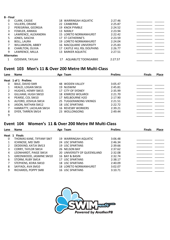| <b>B</b> - Final  |                       |    |                              |         |  |
|-------------------|-----------------------|----|------------------------------|---------|--|
| 0                 | CLARK, CASSIE         |    | 18 WARRINGAH AQUATIC         | 2:27.46 |  |
|                   | VILLIERS, ORIANE      |    | 22 CANBERRA                  | 2:25.87 |  |
| 2                 | PEREGRINA, GEORGIA    |    | 19 KNOX PYMBLE               | 2:24.52 |  |
| 3                 | <b>FOWLER, ANNIKA</b> |    | 13 MANLY                     | 2:23.94 |  |
| 4                 | LAWRENCE, ALEXANDRA   |    | <b>15 LORETO NORMANHURST</b> | 2:22.42 |  |
| 5                 | JONES, SASCHA         |    | 17 ST CATHERINE'S            | 2:23.59 |  |
| 6                 | <b>BOLL, LAURA</b>    |    | <b>19 LORETO NORMANHURST</b> | 2:24.04 |  |
|                   | WILLIAMSON, ABBEY     |    | 16 MACQUARIE UNIVERSITY      | 2:25.83 |  |
| 8                 | CHARLTON, OLIVIA      |    | 17 CASTLE HILL RSL DOLPHINS  | 2:26.77 |  |
| 9                 | LAWRENCE, MILLA       |    | 13 BARKER AQUATIC            | 2:27.51 |  |
| <b>Alternates</b> |                       |    |                              |         |  |
|                   | OZDEMIR, TAYLAH       | 17 | <b>AQUABLITZ TOONGABBIE</b>  | 2:27.57 |  |

#### **Event 103 Men's 11 & Over 200 Metre IM Multi-Class**

| Lane | <b>Name</b>            | Age Team                  | <b>Prelims</b> | <b>Finals</b> | Place |
|------|------------------------|---------------------------|----------------|---------------|-------|
|      | Heat 1 of 1 Prelims    |                           |                |               |       |
| 0    | BALE, DAVID SM9        | 48 WODEN VALLEY           | 3:05.47        |               |       |
|      | HEALD, LOGAN SM16      | 19 NUSWIM                 | 2:45.81        |               |       |
| 2    | HUGHES, HENRY SM15     | 17 CITY OF SYDNEY         | 2:35.99        |               |       |
| 3    | GILLHAM, HUGH SM10     | 18 KINROSS WOLAROI        | 2:21.70        |               |       |
| 4    | PEARSE, COL SM10       | 17 MELBOURNE H2O          | 2:17.90        |               |       |
| 5    | ALFORD, JOSHUA SM14    | 25 TUGGERANONG VIKINGS    | 2:21.51        |               |       |
| 6    | JASON, NATHAN SM12     | 18 USC SPARTANS           | 2:22.72        |               |       |
|      | HANRATTY, LACHLAN SM14 | <b>16 REVESBY WORKERS</b> | 2:39.21        |               |       |
| 8    | DYER, TARREN SM14      | 23 WOLLONGONG             | 2:49.44        |               |       |
| 9    |                        |                           |                |               |       |

#### **Event 104 Women's 11 & Over 200 Metre IM Multi-Class**

| Lane          | <b>Name</b>              | Age Team                     | <b>Prelims</b> | <b>Finals</b> | Place |
|---------------|--------------------------|------------------------------|----------------|---------------|-------|
| Heat          | <b>Finals</b><br>1       |                              |                |               |       |
| 0             | THOMAS KANE, TIFFANY SM7 | 19 WARRINGAH AQUATIC         | 3:06.48        |               |       |
|               | ICHINOSE, MEI SM9        | 24 USC SPARTANS              | 2:46.34        |               |       |
| $\mathcal{L}$ | DEDEKIND, KATJA SM13     | 19 USC SPARTANS              | 2:39.66        |               |       |
| 3             | CORRY, TAYLOR SM14       | 26 NELSON BAY                | 2:37.62        |               |       |
| 4             | LEONHARDT, PAIGE SM14    | 20 UNIVERSITY OF QUEENSLAND  | 2:32.08        |               |       |
| 5             | GREENWOOD, JASMINE SM10  | 16 BAY & BASIN               | 2:32.74        |               |       |
| 6             | STORM, RUBY SM14         | 17 USC SPARTANS              | 2:38.17        |               |       |
|               | STEPHENS, KEIRA SM10     | 18 USC SPARTANS              | 2:40.09        |               |       |
| 8             | SAYYADI, AVA SM10        | <b>18 LORETO NORMANHURST</b> | 3:02.07        |               |       |
| 9             | RICHARDS, POPPY SM8      | 16 USC SPARTANS              | 3:10.71        |               |       |
|               |                          |                              |                |               |       |

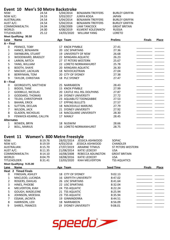|  |  | Event 10 Men's 50 Metre Backstroke |  |
|--|--|------------------------------------|--|
|  |  |                                    |  |

|                   | Event 10 Men's 50 Metre Backstroke |       |                   |                              |                       |               |              |
|-------------------|------------------------------------|-------|-------------------|------------------------------|-----------------------|---------------|--------------|
| NSW:              |                                    | 24.54 | 5/04/2014         | <b>BENJAMIN TREFFERS</b>     | <b>BURLEY GRIFFIN</b> |               |              |
| NSW A/C:          |                                    | 24.53 | 3/03/2017         | <b>JUNYA KOGA</b>            | <b>JAPAN</b>          |               |              |
|                   | <b>AUSTRALIAN:</b>                 | 24.54 | 5/04/2014         | <b>BENJAMIN TREFFERS</b>     | <b>BURLEY GRIFFIN</b> |               |              |
| AUST A/C:         |                                    | 24.54 | 5/04/2014         | <b>BENJAMIN TREFFERS</b>     | <b>BURLEY GRIFFIN</b> |               |              |
|                   | COMMONWEALTH:                      | 24.04 | 2/08/2009         | <b>LIAM TANCOCK</b>          | <b>GREAT BRITAN</b>   |               |              |
| WORLD:            |                                    | 24.00 | 4/08/2019         | KILMENT KOLESNIKOV           | <b>RUSSIA</b>         |               |              |
|                   | TITLEHOLDER:                       | 25.12 | 14/03/2020        | <b>WILLIAM YANG</b>          | <b>LORETO</b>         |               |              |
|                   | Meet Qualifying: 30.50             |       |                   |                              |                       |               |              |
| Lane              | <b>Name</b>                        |       | Age Team          |                              | <b>Prelims</b>        | <b>Finals</b> | <b>Place</b> |
| $A$ – Final       |                                    |       |                   |                              |                       |               |              |
| 0                 | PEKNICE, TOBY                      |       | 17 KNOX PYMBLE    |                              | 27.41                 |               |              |
| $\mathbf{1}$      | HANCE, BENJAMIN                    |       | 20 USC SPARTANS   |                              | 27.36                 |               |              |
| $\overline{2}$    | SWINBURN, STUART                   |       |                   | 19 UNIVERSITY OF NSW         | 26.68                 |               |              |
| 3                 | WOODWARD, BRADLEY                  |       |                   | 22 MINGARA AQUATIC           | 26.23                 |               |              |
| 4                 | LARKIN, MITCH                      |       |                   | 27 ST PETERS WESTERN         | 25.67                 |               |              |
| 5                 | YANG, WILLIAM                      |       |                   | 22 LORETO NORMANHURST        | 25.78                 |               |              |
| 6                 | <b>BOOTH, SHAYE</b>                |       |                   | 20 MINGARA AQUATIC           | 26.30                 |               |              |
| $\overline{7}$    | MACKAY, LACHLAN                    |       | 18 NOVOCASTRIAN   |                              | 27.04                 |               |              |
| 8                 | BERRYMAN, TOM                      |       | 20 CITY OF SYDNEY |                              | 27.38                 |               |              |
| 9                 | <b>TAYLOR, CHRISTIAN</b>           |       | 18 PLC SYDNEY     |                              | 27.47                 |               |              |
| $B$ – Final       |                                    |       |                   |                              |                       |               |              |
| 0                 | GEORGEVITS, MATTHEW                |       | 25 NARRABEEN      |                              | 28.43                 |               |              |
| $\mathbf{1}$      | <b>BIDOIS, TANE</b>                |       | 15 KNOX PYMBLE    |                              | 27.99                 |               |              |
| $\overline{2}$    | <b>GODBILLE, NICOLAS</b>           |       |                   | 20 CASTLE HILL RSL DOLPHINS  | 27.87                 |               |              |
| 3                 | <b>GODDARD, THOMAS</b>             |       |                   | 24 SYDNEY UNIVERSITY         | 27.72                 |               |              |
| 4                 | TELEKI, CHRISTOPHER                |       |                   | 23 AQUABLITZ TOONGABBIE      | 27.53                 |               |              |
| 5                 | <b>BAHAN, ERICK</b>                |       | 17 EPPING BULLETS |                              | 27.57                 |               |              |
| 6                 | <b>SUTTON, DECLAN</b>              |       |                   | <b>18 MACKSVILLE MARLINS</b> | 27.79                 |               |              |
| $\overline{7}$    | WILSON, JACK                       |       |                   | 21 SYDNEY UNIVERSITY         | 27.92                 |               |              |
| 8                 | <b>GLADEN, NICHOLAS</b>            |       |                   | 14 MACQUARIE UNIVERSITY      | 28.30                 |               |              |
| 9                 | FENWICK-KEARNS, CALLYN             |       | 17 MANLY          |                              | 28.45                 |               |              |
| <b>Alternates</b> |                                    |       |                   |                              |                       |               |              |
| 1                 | <b>BOWEN, BRYN</b>                 |       | 18 NUSWIM         |                              | 28.66                 |               |              |
| $\overline{2}$    | <b>BOLL, MARIUS</b>                |       |                   | 16 LORETO NORMANHURST        | 28.75                 |               |              |
|                   |                                    |       |                   |                              |                       |               |              |

### **Event 11 Women's 800 Metre Freestyle**

| NSW:                     | 8:19.76 | 28/02/2014 | JESSICA ASHWOOD   | <b>SOPAC</b>         |
|--------------------------|---------|------------|-------------------|----------------------|
| NSW A/C:                 | 8:19.59 | 4/03/2016  | JESSICA ASHWOOD   | <b>CHANDLER</b>      |
| AUSTRALIAN:              | 8:15.70 | 27/07/2019 | ARIARNE TITMUS    | ST PETERS WESTERN    |
| AUST A/C:                | 8:11.35 | 21/08/2014 | KATIE LEDECKY     | USA                  |
| COMMONWEALTH:            | 8:14.10 | 16/08/2008 | REBECCA ADLINGTON | <b>GREAT BRITAIN</b> |
| WORLD:                   | 8:04.79 | 18/08/2016 | KATIE LEDECKY     | <b>USA</b>           |
| TITLEHOLDER:             | 8:31.41 | 13/03/2020 | KIAH MELVERTON    | <b>TSS AQUATICS</b>  |
| Meet Qualifying: 9:25.00 |         |            |                   |                      |

| Lane | <b>Name</b>                | Age Team                      | <b>Seed Time</b> | <b>Finals</b> | Place |
|------|----------------------------|-------------------------------|------------------|---------------|-------|
|      | <b>Heat 2 Timed Finals</b> |                               |                  |               |       |
| 0    | FINEGAN, ASHLEY            | 18 CITY OF SYDNEY             | 9:02.13          |               |       |
| 1    | MACLEOD, LUCINDA           | <b>16 GRIFFITH UNIVERSITY</b> | 8:47.02          |               |       |
| 2    | ROGERS, DAHLAS             | 26 USC SPARTANS               | 8:41.64          |               |       |
| 3    | HINES, PHOEBE              | 22 USC SPARTANS               | 8:32.04          |               |       |
| 4    | MELVERTON, KIAH            | 24 TSS AQUATIC                | 8:22.24          |               |       |
| 5.   | GOUGH, MADELEINE           | 21 TSS AQUATIC                | 8:25.94          |               |       |
| 6    | JOHNSON, MOESHA            | 23 TSS AQUATIC                | 8:35.94          |               |       |
|      | ESSAM, JACINTA             | 19 GINNINDERRA                | 8:44.51          |               |       |
| 8    | HARRISON, LEXI             | 18 NARRABEEN                  | 8:56.09          |               |       |
| 9    | SHIRES, FRANCES            | <b>19 SYDNEY UNIVERSITY</b>   | 9:08.01          |               |       |